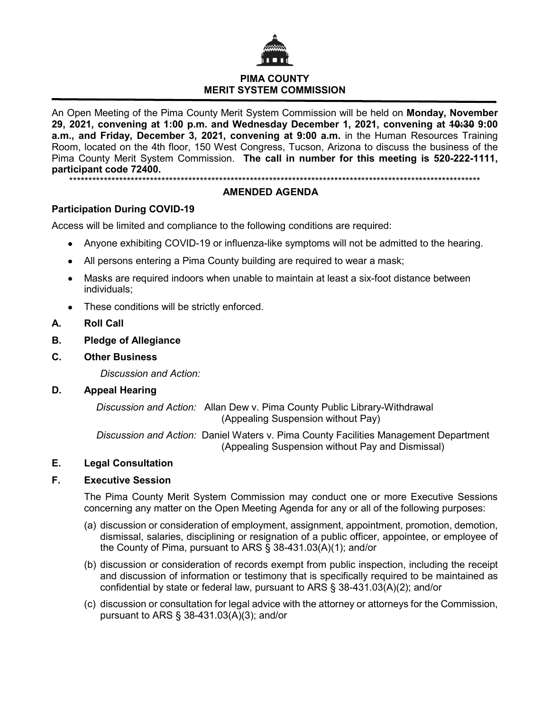

# **PIMA COUNTY MERIT SYSTEM COMMISSION**

An Open Meeting of the Pima County Merit System Commission will be held on **Monday, November 29, 2021, convening at 1:00 p.m. and Wednesday December 1, 2021, convening at 10:30 9:00 a.m., and Friday, December 3, 2021, convening at 9:00 a.m.** in the Human Resources Training Room, located on the 4th floor, 150 West Congress, Tucson, Arizona to discuss the business of the Pima County Merit System Commission. **The call in number for this meeting is 520-222-1111, participant code 72400.**

\*\*\*\*\*\*\*\*\*\*\*\*\*\*\*\*\*\*\*\*\*\*\*\*\*\*\*\*\*\*\*\*\*\*\*\*\*\*\*\*\*\*\*\*\*\*\*\*\*\*\*\*\*\*\*\*\*\*\*\*\*\*\*\*\*\*\*\*\*\*\*\*\*\*\*\*\*\*\*\*\*\*\*\*\*\*\*\*\*\*\*\*\*\*\*\*\*\*\*\*\*\*\*\*\*\*\*

## **AMENDED AGENDA**

# **Participation During COVID-19**

Access will be limited and compliance to the following conditions are required:

- Anyone exhibiting COVID-19 or influenza-like symptoms will not be admitted to the hearing.
- All persons entering a Pima County building are required to wear a mask;
- Masks are required indoors when unable to maintain at least a six-foot distance between individuals;
- These conditions will be strictly enforced.
- **A. Roll Call**
- **B. Pledge of Allegiance**
- **C. Other Business**

*Discussion and Action:*

### **D. Appeal Hearing**

*Discussion and Action:* Allan Dew v. Pima County Public Library-Withdrawal (Appealing Suspension without Pay)

*Discussion and Action:* Daniel Waters v. Pima County Facilities Management Department (Appealing Suspension without Pay and Dismissal)

### **E. Legal Consultation**

# **F. Executive Session**

The Pima County Merit System Commission may conduct one or more Executive Sessions concerning any matter on the Open Meeting Agenda for any or all of the following purposes:

- (a) discussion or consideration of employment, assignment, appointment, promotion, demotion, dismissal, salaries, disciplining or resignation of a public officer, appointee, or employee of the County of Pima, pursuant to ARS § 38-431.03(A)(1); and/or
- (b) discussion or consideration of records exempt from public inspection, including the receipt and discussion of information or testimony that is specifically required to be maintained as confidential by state or federal law, pursuant to ARS § 38-431.03(A)(2); and/or
- (c) discussion or consultation for legal advice with the attorney or attorneys for the Commission, pursuant to ARS § 38-431.03(A)(3); and/or